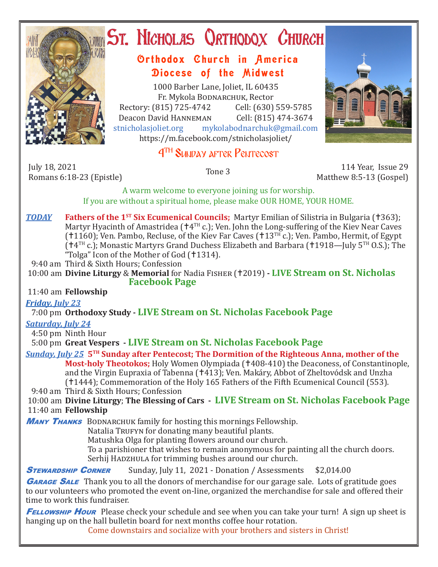

# **ST. NICHOLAS QRTHODOX CHURCH**

### Orthodox Church in America Diocese of the Midwest

1000 Barber Lane, Joliet, IL 60435 Fr. Mykola Bodnarchuk, Rector Rectory: (815) 725-4742 Cell: (630) 559-5785<br>Deacon David HANNEMAN Cell: (815) 474-3674 Deacon David HANNEMAN<br>stnicholasioliet.org mykola mykolabodnarchuk@gmail.com https://m.facebook.com/stnicholasjoliet/

## 4TH Sunday after Pentecost

July 18, 2021 Romans 6:18-23 (Epistle) Tone 3 114 Year, Issue 29

Matthew 8:5-13 (Gospel)

A warm welcome to everyone joining us for worship. If you are without a spiritual home, please make OUR HOME, YOUR HOME.

**TODAY Fathers of the 1<sup>st</sup> Six Ecumenical Councils;** Martyr Emilian of Silistria in Bulgaria (†363); Martyr Hyacinth of Amastridea ( $+4^{TH}$  c.); Ven. John the Long-suffering of the Kiev Near Caves ( $1160$ ); Ven. Pambo, Recluse, of the Kiev Far Caves ( $13<sup>TH</sup>$  c.); Ven. Pambo, Hermit, of Egypt  $(14^{TH} c.)$ ; Monastic Martyrs Grand Duchess Elizabeth and Barbara (1918—July 5<sup>TH</sup> O.S.); The "Tolga" Icon of the Mother of God (†1314).

9:40 am Third & Sixth Hours; Confession

10:00 am **Divine Liturgy** & **Memorial** for Nadia Fisher (2019) **- LIVE Stream on St. Nicholas Facebook Page**

11:40 am **Fellowship**

*Friday, July 23* 

7:00 pm **Orthodoxy Study - LIVE Stream on St. Nicholas Facebook Page**

*Saturday, July 24*

4:50 pm Ninth Hour

5:00 pm **Great Vespers - LIVE Stream on St. Nicholas Facebook Page**

#### *Sunday, July 25* **5TH Sunday after Pentecost; The Dormition of the Righteous Anna, mother of the**

**Most-holy Theotokos;** Holy Women Olympiada (+408-410) the Deaconess, of Constantinople, and the Virgin Eupraxia of Tabenna (†413); Ven. Makáry, Abbot of Zheltovódsk and Unzha (1444); Commemoration of the Holy 165 Fathers of the Fifth Ecumenical Council (553).

9:40 am Third & Sixth Hours; Confession

 10:00 am **Divine Liturgy**; **The Blessing of Cars - LIVE Stream on St. Nicholas Facebook Page** 11:40 am **Fellowship**

**MANY THANKS** BODNARCHUK family for hosting this mornings Fellowship.

Natalia TRUFYN for donating many beautiful plants.

 Matushka Olga for planting flowers around our church.

 To a parishioner that wishes to remain anonymous for painting all the church doors. Serhij HADZHULA for trimming bushes around our church.

**STEWARDSHIP CORNER** Sunday, July 11, 2021 - Donation / Assessments \$2,014.00

**GARAGE SALE** Thank you to all the donors of merchandise for our garage sale. Lots of gratitude goes to our volunteers who promoted the event on-line, organized the merchandise for sale and offered their time to work this fundraiser.

**FELLOWSHIP HOUR** Please check your schedule and see when you can take your turn! A sign up sheet is hanging up on the hall bulletin board for next months coffee hour rotation.

Come downstairs and socialize with your brothers and sisters in Christ!